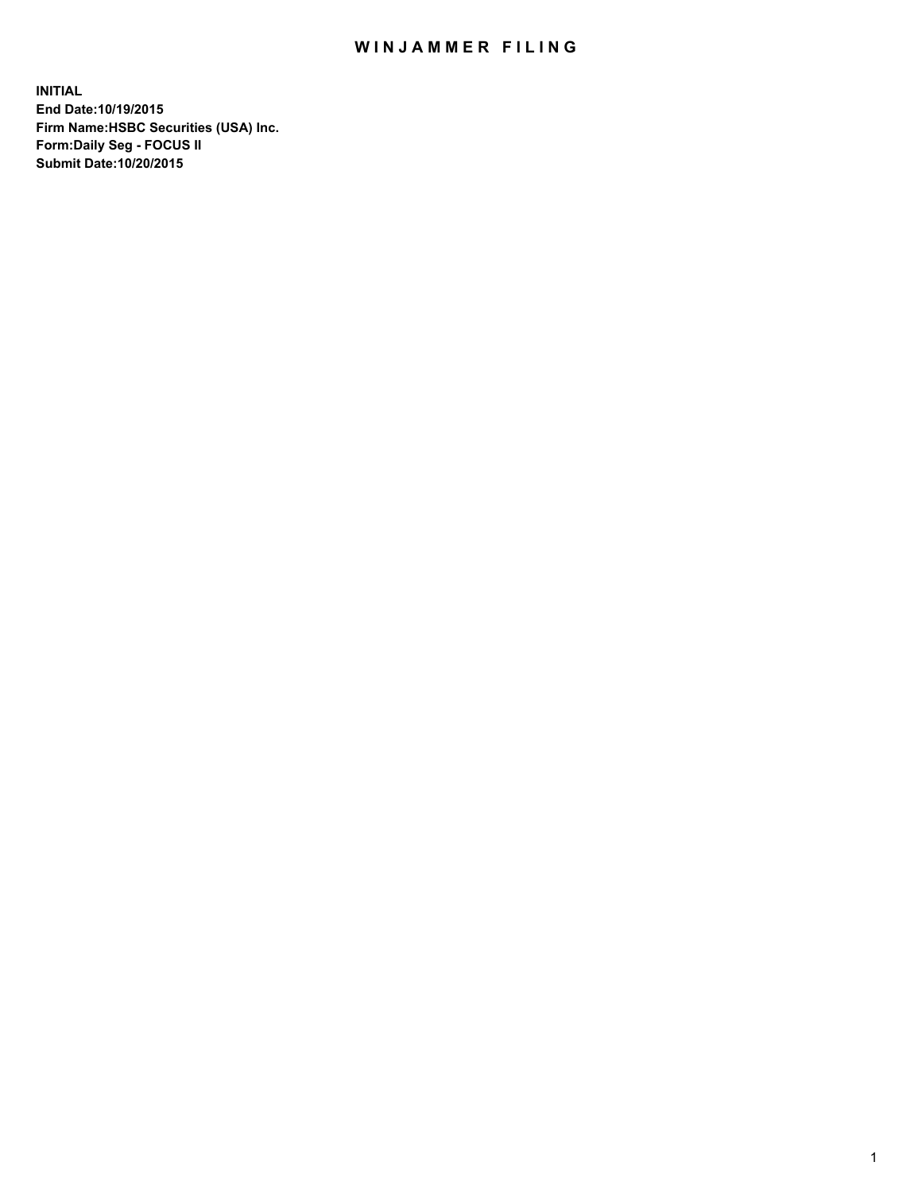## WIN JAMMER FILING

**INITIAL End Date:10/19/2015 Firm Name:HSBC Securities (USA) Inc. Form:Daily Seg - FOCUS II Submit Date:10/20/2015**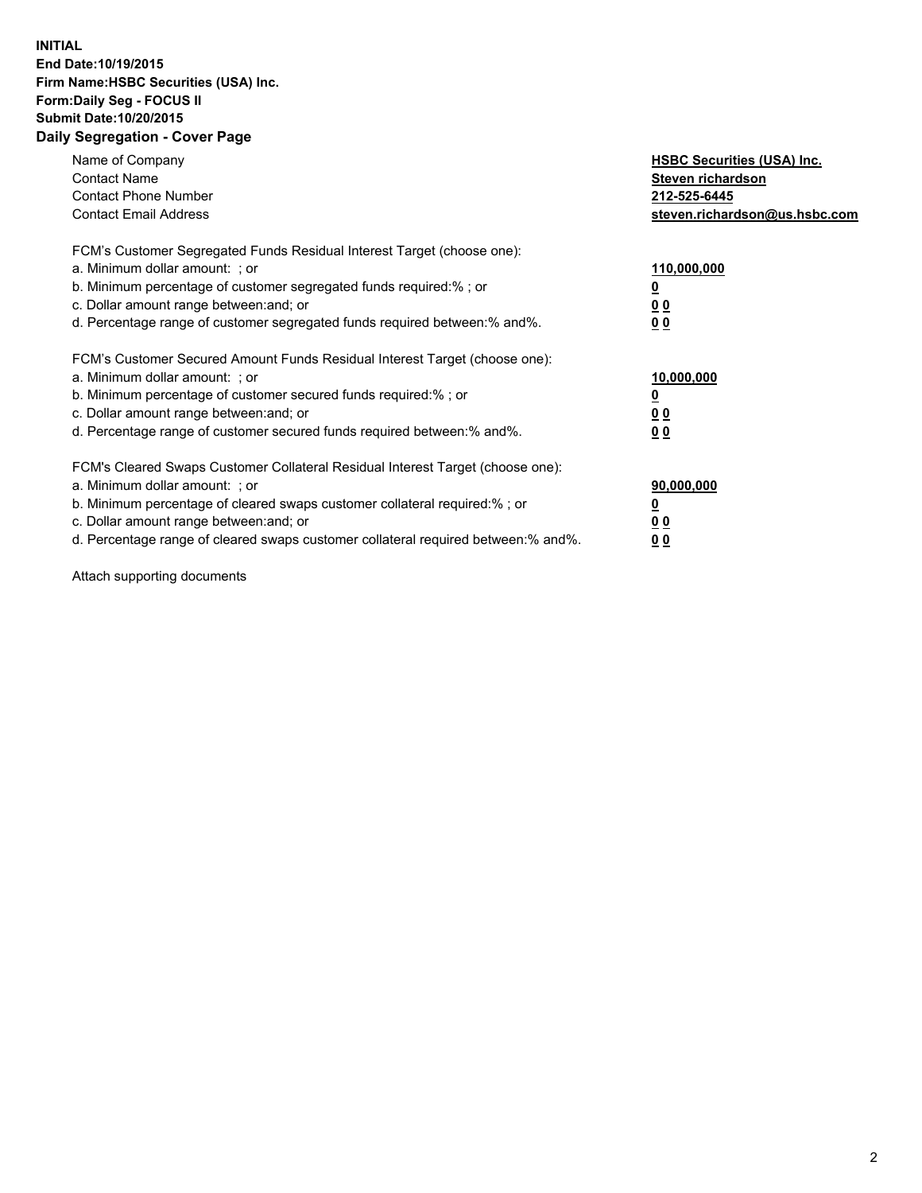## **INITIAL End Date:10/19/2015 Firm Name:HSBC Securities (USA) Inc. Form:Daily Seg - FOCUS II Submit Date:10/20/2015 Daily Segregation - Cover Page**

| Name of Company<br><b>Contact Name</b><br><b>Contact Phone Number</b><br><b>Contact Email Address</b>                                                                                                                                                                                                                         | <b>HSBC Securities (USA) Inc.</b><br>Steven richardson<br>212-525-6445<br>steven.richardson@us.hsbc.com |
|-------------------------------------------------------------------------------------------------------------------------------------------------------------------------------------------------------------------------------------------------------------------------------------------------------------------------------|---------------------------------------------------------------------------------------------------------|
| FCM's Customer Segregated Funds Residual Interest Target (choose one):<br>a. Minimum dollar amount: ; or<br>b. Minimum percentage of customer segregated funds required:% ; or<br>c. Dollar amount range between: and; or<br>d. Percentage range of customer segregated funds required between: % and %.                      | 110,000,000<br>0 <sub>0</sub><br>0 <sub>0</sub>                                                         |
| FCM's Customer Secured Amount Funds Residual Interest Target (choose one):<br>a. Minimum dollar amount: ; or<br>b. Minimum percentage of customer secured funds required:%; or<br>c. Dollar amount range between: and; or<br>d. Percentage range of customer secured funds required between:% and%.                           | 10,000,000<br>0 <sub>0</sub><br>00                                                                      |
| FCM's Cleared Swaps Customer Collateral Residual Interest Target (choose one):<br>a. Minimum dollar amount: ; or<br>b. Minimum percentage of cleared swaps customer collateral required:%; or<br>c. Dollar amount range between: and; or<br>d. Percentage range of cleared swaps customer collateral required between:% and%. | 90,000,000<br>0 <sub>0</sub><br>00                                                                      |

Attach supporting documents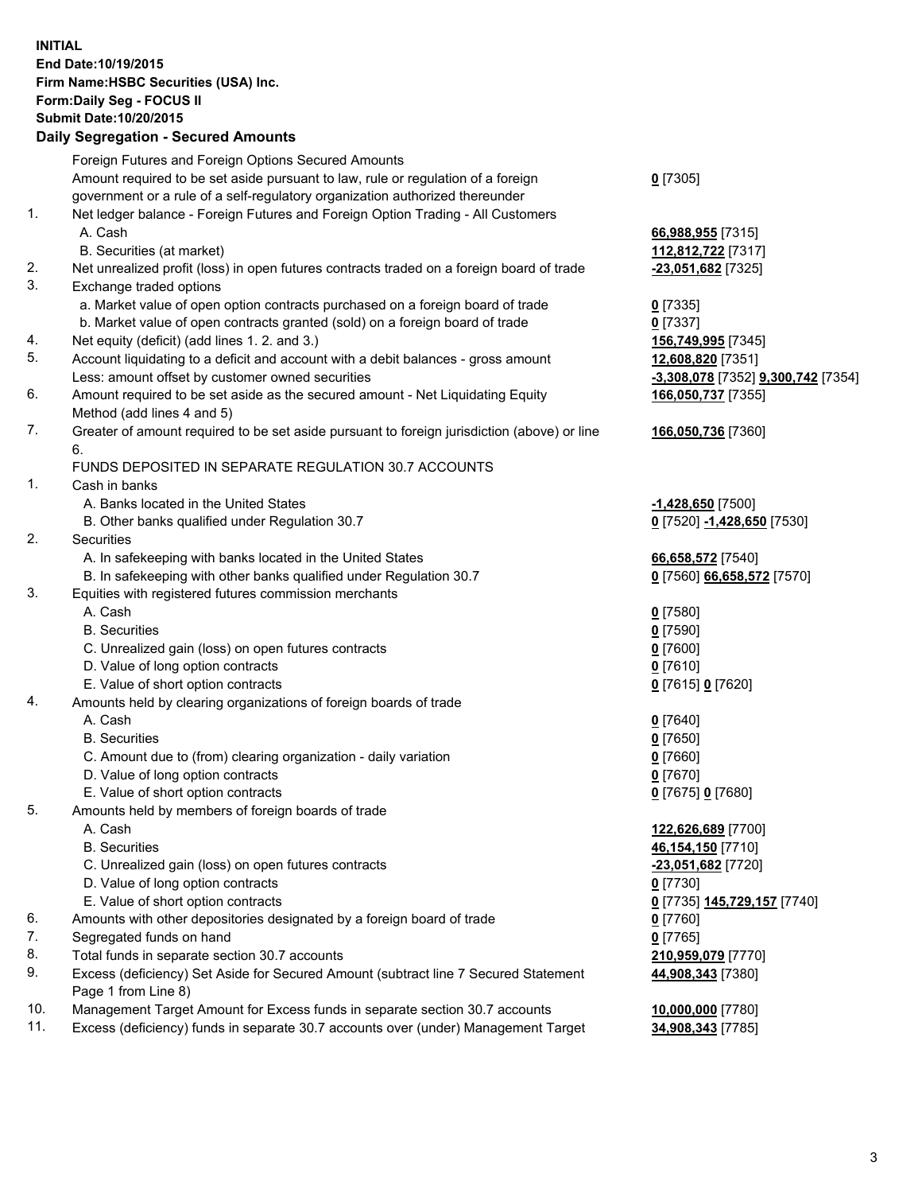**INITIAL End Date:10/19/2015 Firm Name:HSBC Securities (USA) Inc. Form:Daily Seg - FOCUS II Submit Date:10/20/2015**

## **Daily Segregation - Secured Amounts**

|     | Foreign Futures and Foreign Options Secured Amounts                                                        |                                    |
|-----|------------------------------------------------------------------------------------------------------------|------------------------------------|
|     | Amount required to be set aside pursuant to law, rule or regulation of a foreign                           | $0$ [7305]                         |
|     | government or a rule of a self-regulatory organization authorized thereunder                               |                                    |
| 1.  | Net ledger balance - Foreign Futures and Foreign Option Trading - All Customers                            |                                    |
|     | A. Cash                                                                                                    | 66,988,955 [7315]                  |
|     | B. Securities (at market)                                                                                  | 112,812,722 [7317]                 |
| 2.  | Net unrealized profit (loss) in open futures contracts traded on a foreign board of trade                  | $-23,051,682$ [7325]               |
| 3.  | Exchange traded options                                                                                    |                                    |
|     | a. Market value of open option contracts purchased on a foreign board of trade                             | $0$ [7335]                         |
|     | b. Market value of open contracts granted (sold) on a foreign board of trade                               | $0$ [7337]                         |
| 4.  | Net equity (deficit) (add lines 1.2. and 3.)                                                               | 156,749,995 [7345]                 |
| 5.  | Account liquidating to a deficit and account with a debit balances - gross amount                          | 12,608,820 [7351]                  |
|     | Less: amount offset by customer owned securities                                                           | -3,308,078 [7352] 9,300,742 [7354] |
| 6.  | Amount required to be set aside as the secured amount - Net Liquidating Equity                             | 166,050,737 [7355]                 |
|     | Method (add lines 4 and 5)                                                                                 |                                    |
| 7.  | Greater of amount required to be set aside pursuant to foreign jurisdiction (above) or line                | 166,050,736 [7360]                 |
|     | 6.                                                                                                         |                                    |
|     | FUNDS DEPOSITED IN SEPARATE REGULATION 30.7 ACCOUNTS                                                       |                                    |
| 1.  | Cash in banks                                                                                              |                                    |
|     | A. Banks located in the United States                                                                      | $-1,428,650$ [7500]                |
|     | B. Other banks qualified under Regulation 30.7                                                             | 0 [7520] -1,428,650 [7530]         |
| 2.  | Securities                                                                                                 |                                    |
|     | A. In safekeeping with banks located in the United States                                                  | 66,658,572 [7540]                  |
|     | B. In safekeeping with other banks qualified under Regulation 30.7                                         | 0 [7560] 66,658,572 [7570]         |
| 3.  | Equities with registered futures commission merchants                                                      |                                    |
|     | A. Cash                                                                                                    | $0$ [7580]                         |
|     | <b>B.</b> Securities                                                                                       | $0$ [7590]                         |
|     | C. Unrealized gain (loss) on open futures contracts                                                        | $0$ [7600]                         |
|     | D. Value of long option contracts                                                                          | $0$ [7610]                         |
|     | E. Value of short option contracts                                                                         | 0 [7615] 0 [7620]                  |
| 4.  | Amounts held by clearing organizations of foreign boards of trade                                          |                                    |
|     | A. Cash                                                                                                    | 0 [7640]                           |
|     | <b>B.</b> Securities                                                                                       | $0$ [7650]                         |
|     | C. Amount due to (from) clearing organization - daily variation                                            | $0$ [7660]                         |
|     | D. Value of long option contracts                                                                          | $0$ [7670]                         |
|     | E. Value of short option contracts                                                                         | 0 [7675] 0 [7680]                  |
| 5.  | Amounts held by members of foreign boards of trade                                                         |                                    |
|     | A. Cash                                                                                                    | 122,626,689 [7700]                 |
|     | <b>B.</b> Securities                                                                                       | 46,154,150 [7710]                  |
|     | C. Unrealized gain (loss) on open futures contracts                                                        | -23,051,682 [7720]                 |
|     | D. Value of long option contracts                                                                          | $0$ [7730]                         |
|     | E. Value of short option contracts                                                                         | 0 [7735] 145,729,157 [7740]        |
| 6.  | Amounts with other depositories designated by a foreign board of trade                                     | $0$ [7760]                         |
| 7.  | Segregated funds on hand                                                                                   | $0$ [7765]                         |
| 8.  | Total funds in separate section 30.7 accounts                                                              | 210,959,079 [7770]                 |
| 9.  | Excess (deficiency) Set Aside for Secured Amount (subtract line 7 Secured Statement<br>Page 1 from Line 8) | 44,908,343 [7380]                  |
| 10. | Management Target Amount for Excess funds in separate section 30.7 accounts                                | 10,000,000 [7780]                  |
| 11. | Excess (deficiency) funds in separate 30.7 accounts over (under) Management Target                         | 34,908,343 [7785]                  |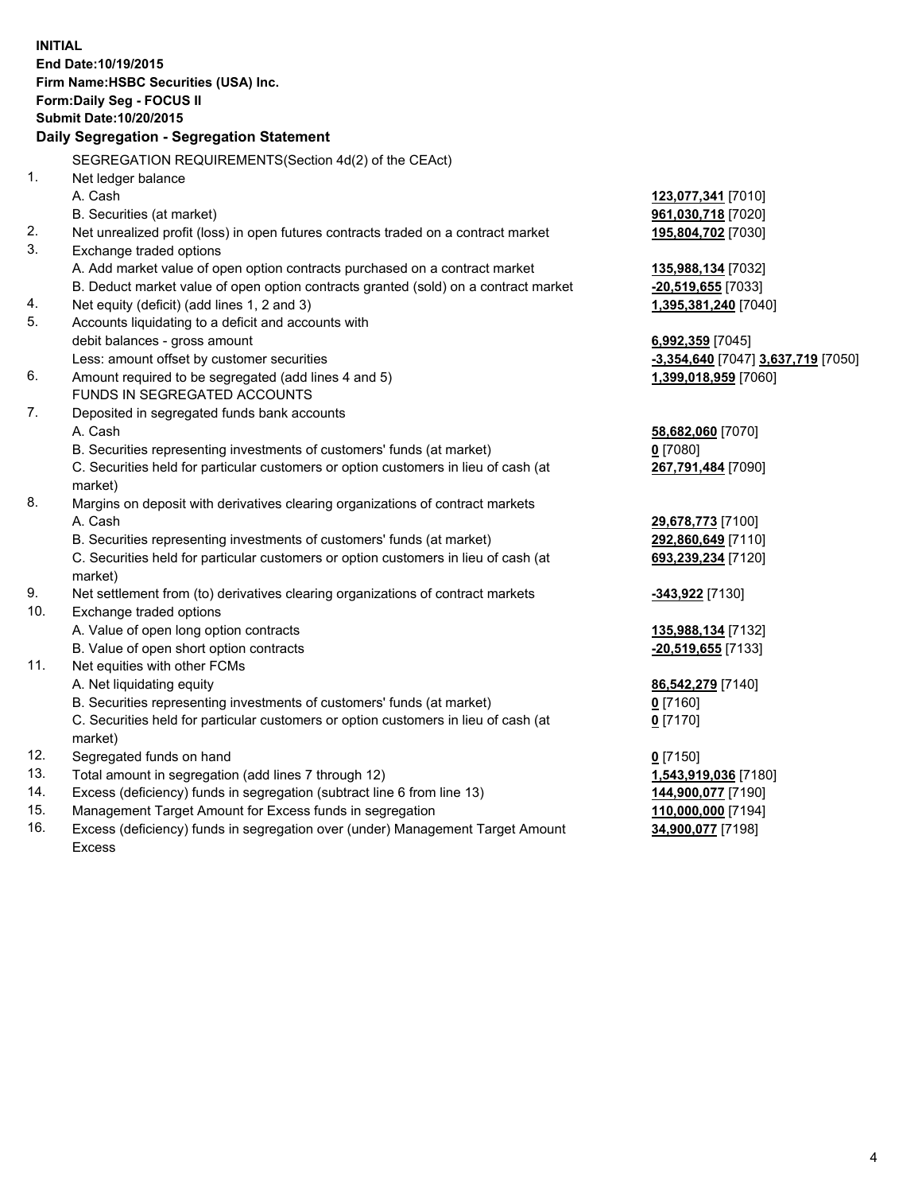**INITIAL End Date:10/19/2015 Firm Name:HSBC Securities (USA) Inc. Form:Daily Seg - FOCUS II Submit Date:10/20/2015 Daily Segregation - Segregation Statement** SEGREGATION REQUIREMENTS(Section 4d(2) of the CEAct) 1. Net ledger balance A. Cash **123,077,341** [7010] B. Securities (at market) **961,030,718** [7020] 2. Net unrealized profit (loss) in open futures contracts traded on a contract market **195,804,702** [7030] 3. Exchange traded options A. Add market value of open option contracts purchased on a contract market **135,988,134** [7032] B. Deduct market value of open option contracts granted (sold) on a contract market **-20,519,655** [7033] 4. Net equity (deficit) (add lines 1, 2 and 3) **1,395,381,240** [7040] 5. Accounts liquidating to a deficit and accounts with debit balances - gross amount **6,992,359** [7045] Less: amount offset by customer securities **-3,354,640** [7047] **3,637,719** [7050] 6. Amount required to be segregated (add lines 4 and 5) **1,399,018,959** [7060] FUNDS IN SEGREGATED ACCOUNTS 7. Deposited in segregated funds bank accounts A. Cash **58,682,060** [7070] B. Securities representing investments of customers' funds (at market) **0** [7080] C. Securities held for particular customers or option customers in lieu of cash (at market) **267,791,484** [7090] 8. Margins on deposit with derivatives clearing organizations of contract markets A. Cash **29,678,773** [7100] B. Securities representing investments of customers' funds (at market) **292,860,649** [7110] C. Securities held for particular customers or option customers in lieu of cash (at market) **693,239,234** [7120] 9. Net settlement from (to) derivatives clearing organizations of contract markets **-343,922** [7130] 10. Exchange traded options A. Value of open long option contracts **135,988,134** [7132] B. Value of open short option contracts **-20,519,655** [7133] 11. Net equities with other FCMs A. Net liquidating equity **86,542,279** [7140] B. Securities representing investments of customers' funds (at market) **0** [7160] C. Securities held for particular customers or option customers in lieu of cash (at market) **0** [7170] 12. Segregated funds on hand **0** [7150] 13. Total amount in segregation (add lines 7 through 12) **1,543,919,036** [7180] 14. Excess (deficiency) funds in segregation (subtract line 6 from line 13) **144,900,077** [7190] 15. Management Target Amount for Excess funds in segregation **110,000,000** [7194]

16. Excess (deficiency) funds in segregation over (under) Management Target Amount Excess

**34,900,077** [7198]